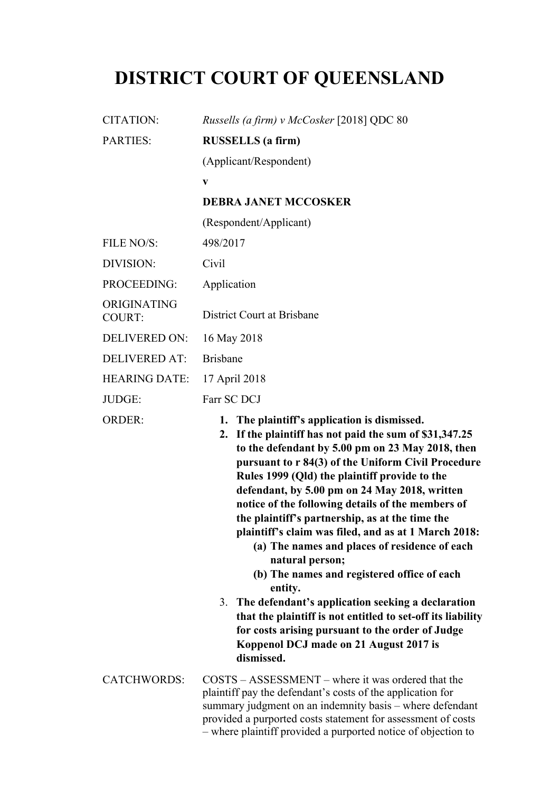# **DISTRICT COURT OF QUEENSLAND**

| <b>CITATION:</b>             | Russells (a firm) v McCosker [2018] QDC 80                                                                                                                                                                                                                                                                                                                                                                                                                                                                                                                                                                                                                                                                                                                                                                                                           |
|------------------------------|------------------------------------------------------------------------------------------------------------------------------------------------------------------------------------------------------------------------------------------------------------------------------------------------------------------------------------------------------------------------------------------------------------------------------------------------------------------------------------------------------------------------------------------------------------------------------------------------------------------------------------------------------------------------------------------------------------------------------------------------------------------------------------------------------------------------------------------------------|
| <b>PARTIES:</b>              | <b>RUSSELLS</b> (a firm)                                                                                                                                                                                                                                                                                                                                                                                                                                                                                                                                                                                                                                                                                                                                                                                                                             |
|                              | (Applicant/Respondent)                                                                                                                                                                                                                                                                                                                                                                                                                                                                                                                                                                                                                                                                                                                                                                                                                               |
|                              | V                                                                                                                                                                                                                                                                                                                                                                                                                                                                                                                                                                                                                                                                                                                                                                                                                                                    |
|                              | <b>DEBRA JANET MCCOSKER</b>                                                                                                                                                                                                                                                                                                                                                                                                                                                                                                                                                                                                                                                                                                                                                                                                                          |
|                              | (Respondent/Applicant)                                                                                                                                                                                                                                                                                                                                                                                                                                                                                                                                                                                                                                                                                                                                                                                                                               |
| FILE NO/S:                   | 498/2017                                                                                                                                                                                                                                                                                                                                                                                                                                                                                                                                                                                                                                                                                                                                                                                                                                             |
| DIVISION:                    | Civil                                                                                                                                                                                                                                                                                                                                                                                                                                                                                                                                                                                                                                                                                                                                                                                                                                                |
| PROCEEDING:                  | Application                                                                                                                                                                                                                                                                                                                                                                                                                                                                                                                                                                                                                                                                                                                                                                                                                                          |
| ORIGINATING<br><b>COURT:</b> | District Court at Brisbane                                                                                                                                                                                                                                                                                                                                                                                                                                                                                                                                                                                                                                                                                                                                                                                                                           |
| <b>DELIVERED ON:</b>         | 16 May 2018                                                                                                                                                                                                                                                                                                                                                                                                                                                                                                                                                                                                                                                                                                                                                                                                                                          |
| <b>DELIVERED AT:</b>         | <b>Brisbane</b>                                                                                                                                                                                                                                                                                                                                                                                                                                                                                                                                                                                                                                                                                                                                                                                                                                      |
| <b>HEARING DATE:</b>         | 17 April 2018                                                                                                                                                                                                                                                                                                                                                                                                                                                                                                                                                                                                                                                                                                                                                                                                                                        |
| JUDGE:                       | Farr SC DCJ                                                                                                                                                                                                                                                                                                                                                                                                                                                                                                                                                                                                                                                                                                                                                                                                                                          |
| <b>ORDER:</b>                | 1. The plaintiff's application is dismissed.<br>2. If the plaintiff has not paid the sum of \$31,347.25<br>to the defendant by 5.00 pm on 23 May 2018, then<br>pursuant to r 84(3) of the Uniform Civil Procedure<br>Rules 1999 (Qld) the plaintiff provide to the<br>defendant, by 5.00 pm on 24 May 2018, written<br>notice of the following details of the members of<br>the plaintiff's partnership, as at the time the<br>plaintiff's claim was filed, and as at 1 March 2018:<br>(a) The names and places of residence of each<br>natural person;<br>(b) The names and registered office of each<br>entity.<br>3. The defendant's application seeking a declaration<br>that the plaintiff is not entitled to set-off its liability<br>for costs arising pursuant to the order of Judge<br>Koppenol DCJ made on 21 August 2017 is<br>dismissed. |
| <b>CATCHWORDS:</b>           | $COSTS - ASSESSMENT - where it was ordered that the$<br>plaintiff pay the defendant's costs of the application for<br>summary judgment on an indemnity basis – where defendant<br>provided a purported costs statement for assessment of costs<br>- where plaintiff provided a purported notice of objection to                                                                                                                                                                                                                                                                                                                                                                                                                                                                                                                                      |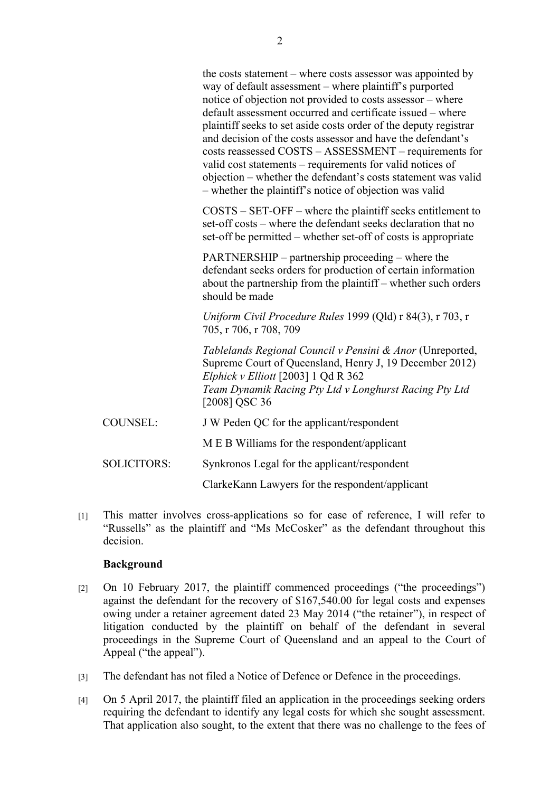COSTS – SET-OFF – where the plaintiff seeks entitlement to set-off costs – where the defendant seeks declaration that no set-off be permitted – whether set-off of costs is appropriate

PARTNERSHIP – partnership proceeding – where the defendant seeks orders for production of certain information about the partnership from the plaintiff – whether such orders should be made

*Uniform Civil Procedure Rules* 1999 (Qld) r 84(3), r 703, r 705, r 706, r 708, 709

*Tablelands Regional Council v Pensini & Anor* (Unreported, Supreme Court of Queensland, Henry J, 19 December 2012) *Elphick v Elliott* [2003] 1 Qd R 362 *Team Dynamik Racing Pty Ltd v Longhurst Racing Pty Ltd*  [2008] QSC 36

COUNSEL: J W Peden QC for the applicant/respondent

M E B Williams for the respondent/applicant

SOLICITORS: Synkronos Legal for the applicant/respondent

ClarkeKann Lawyers for the respondent/applicant

[1] This matter involves cross-applications so for ease of reference, I will refer to "Russells" as the plaintiff and "Ms McCosker" as the defendant throughout this decision.

## **Background**

- [2] On 10 February 2017, the plaintiff commenced proceedings ("the proceedings") against the defendant for the recovery of \$167,540.00 for legal costs and expenses owing under a retainer agreement dated 23 May 2014 ("the retainer"), in respect of litigation conducted by the plaintiff on behalf of the defendant in several proceedings in the Supreme Court of Queensland and an appeal to the Court of Appeal ("the appeal").
- [3] The defendant has not filed a Notice of Defence or Defence in the proceedings.
- [4] On 5 April 2017, the plaintiff filed an application in the proceedings seeking orders requiring the defendant to identify any legal costs for which she sought assessment. That application also sought, to the extent that there was no challenge to the fees of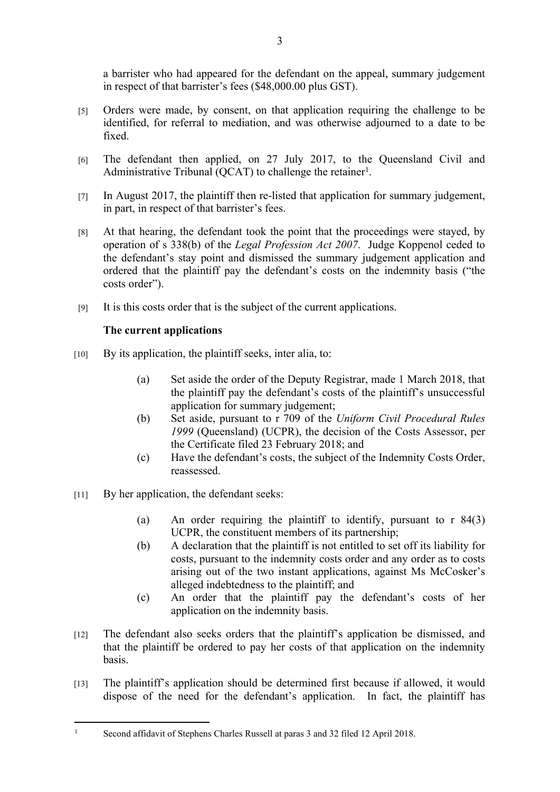a barrister who had appeared for the defendant on the appeal, summary judgement in respect of that barrister's fees (\$48,000.00 plus GST).

- [5] Orders were made, by consent, on that application requiring the challenge to be identified, for referral to mediation, and was otherwise adjourned to a date to be fixed.
- [6] The defendant then applied, on 27 July 2017, to the Queensland Civil and Administrative Tribunal (QCAT) to challenge the retainer<sup>1</sup>.
- [7] In August 2017, the plaintiff then re-listed that application for summary judgement, in part, in respect of that barrister's fees.
- [8] At that hearing, the defendant took the point that the proceedings were stayed, by operation of s 338(b) of the *Legal Profession Act 2007*. Judge Koppenol ceded to the defendant's stay point and dismissed the summary judgement application and ordered that the plaintiff pay the defendant's costs on the indemnity basis ("the costs order").
- [9] It is this costs order that is the subject of the current applications.

## **The current applications**

- [10] By its application, the plaintiff seeks, inter alia, to:
	- (a) Set aside the order of the Deputy Registrar, made 1 March 2018, that the plaintiff pay the defendant's costs of the plaintiff's unsuccessful application for summary judgement;
	- (b) Set aside, pursuant to r 709 of the *Uniform Civil Procedural Rules 1999* (Queensland) (UCPR), the decision of the Costs Assessor, per the Certificate filed 23 February 2018; and
	- (c) Have the defendant's costs, the subject of the Indemnity Costs Order, reassessed.
- [11] By her application, the defendant seeks:

1

- (a) An order requiring the plaintiff to identify, pursuant to r 84(3) UCPR, the constituent members of its partnership;
- (b) A declaration that the plaintiff is not entitled to set off its liability for costs, pursuant to the indemnity costs order and any order as to costs arising out of the two instant applications, against Ms McCosker's alleged indebtedness to the plaintiff; and
- (c) An order that the plaintiff pay the defendant's costs of her application on the indemnity basis.
- [12] The defendant also seeks orders that the plaintiff's application be dismissed, and that the plaintiff be ordered to pay her costs of that application on the indemnity basis.
- [13] The plaintiff's application should be determined first because if allowed, it would dispose of the need for the defendant's application. In fact, the plaintiff has

Second affidavit of Stephens Charles Russell at paras 3 and 32 filed 12 April 2018.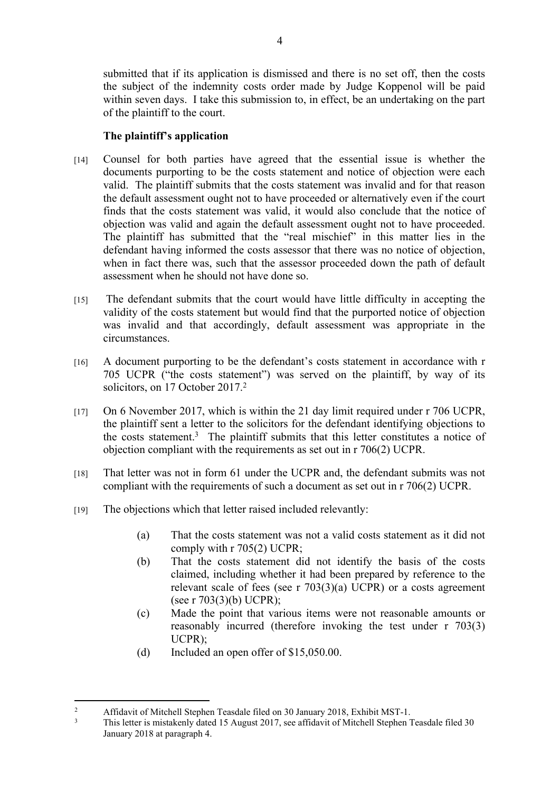submitted that if its application is dismissed and there is no set off, then the costs the subject of the indemnity costs order made by Judge Koppenol will be paid within seven days. I take this submission to, in effect, be an undertaking on the part of the plaintiff to the court.

#### **The plaintiff's application**

- [14] Counsel for both parties have agreed that the essential issue is whether the documents purporting to be the costs statement and notice of objection were each valid. The plaintiff submits that the costs statement was invalid and for that reason the default assessment ought not to have proceeded or alternatively even if the court finds that the costs statement was valid, it would also conclude that the notice of objection was valid and again the default assessment ought not to have proceeded. The plaintiff has submitted that the "real mischief" in this matter lies in the defendant having informed the costs assessor that there was no notice of objection, when in fact there was, such that the assessor proceeded down the path of default assessment when he should not have done so.
- [15] The defendant submits that the court would have little difficulty in accepting the validity of the costs statement but would find that the purported notice of objection was invalid and that accordingly, default assessment was appropriate in the circumstances.
- [16] A document purporting to be the defendant's costs statement in accordance with r 705 UCPR ("the costs statement") was served on the plaintiff, by way of its solicitors, on 17 October 2017.<sup>2</sup>
- [17] On 6 November 2017, which is within the 21 day limit required under r 706 UCPR, the plaintiff sent a letter to the solicitors for the defendant identifying objections to the costs statement.<sup>3</sup> The plaintiff submits that this letter constitutes a notice of objection compliant with the requirements as set out in r 706(2) UCPR.
- [18] That letter was not in form 61 under the UCPR and, the defendant submits was not compliant with the requirements of such a document as set out in r 706(2) UCPR.
- [19] The objections which that letter raised included relevantly:
	- (a) That the costs statement was not a valid costs statement as it did not comply with r 705(2) UCPR;
	- (b) That the costs statement did not identify the basis of the costs claimed, including whether it had been prepared by reference to the relevant scale of fees (see r 703(3)(a) UCPR) or a costs agreement (see r 703(3)(b) UCPR);
	- (c) Made the point that various items were not reasonable amounts or reasonably incurred (therefore invoking the test under r 703(3) UCPR);
	- (d) Included an open offer of \$15,050.00.

<sup>2</sup> Affidavit of Mitchell Stephen Teasdale filed on 30 January 2018, Exhibit MST-1.

<sup>3</sup> This letter is mistakenly dated 15 August 2017, see affidavit of Mitchell Stephen Teasdale filed 30 January 2018 at paragraph 4.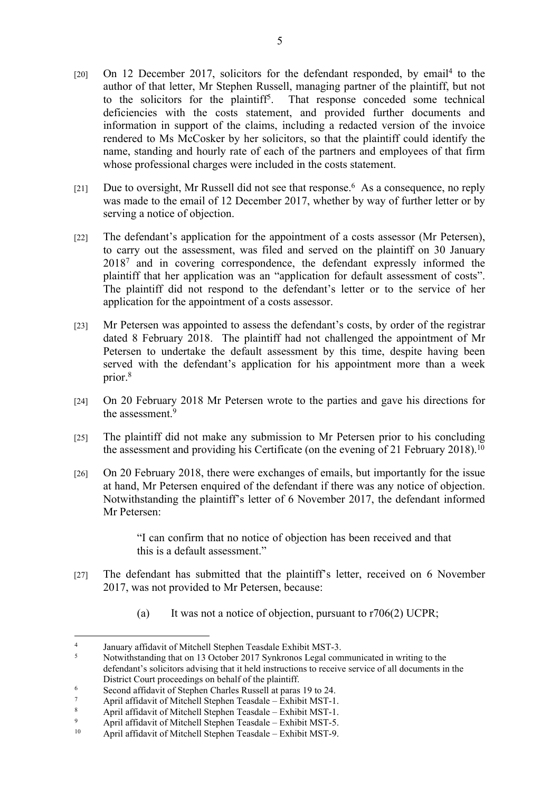- [20] On 12 December 2017, solicitors for the defendant responded, by email<sup>4</sup> to the author of that letter, Mr Stephen Russell, managing partner of the plaintiff, but not to the solicitors for the plaintiff<sup>5</sup>. . That response conceded some technical deficiencies with the costs statement, and provided further documents and information in support of the claims, including a redacted version of the invoice rendered to Ms McCosker by her solicitors, so that the plaintiff could identify the name, standing and hourly rate of each of the partners and employees of that firm whose professional charges were included in the costs statement.
- [21] Due to oversight, Mr Russell did not see that response.<sup>6</sup> As a consequence, no reply was made to the email of 12 December 2017, whether by way of further letter or by serving a notice of objection.
- [22] The defendant's application for the appointment of a costs assessor (Mr Petersen), to carry out the assessment, was filed and served on the plaintiff on 30 January 2018<sup>7</sup> and in covering correspondence, the defendant expressly informed the plaintiff that her application was an "application for default assessment of costs". The plaintiff did not respond to the defendant's letter or to the service of her application for the appointment of a costs assessor.
- [23] Mr Petersen was appointed to assess the defendant's costs, by order of the registrar dated 8 February 2018. The plaintiff had not challenged the appointment of Mr Petersen to undertake the default assessment by this time, despite having been served with the defendant's application for his appointment more than a week prior.<sup>8</sup>
- [24] On 20 February 2018 Mr Petersen wrote to the parties and gave his directions for the assessment.<sup>9</sup>
- [25] The plaintiff did not make any submission to Mr Petersen prior to his concluding the assessment and providing his Certificate (on the evening of 21 February 2018).<sup>10</sup>
- [26] On 20 February 2018, there were exchanges of emails, but importantly for the issue at hand, Mr Petersen enquired of the defendant if there was any notice of objection. Notwithstanding the plaintiff's letter of 6 November 2017, the defendant informed Mr Petersen:

"I can confirm that no notice of objection has been received and that this is a default assessment."

- [27] The defendant has submitted that the plaintiff's letter, received on 6 November 2017, was not provided to Mr Petersen, because:
	- (a) It was not a notice of objection, pursuant to  $r706(2)$  UCPR;

<sup>4</sup> January affidavit of Mitchell Stephen Teasdale Exhibit MST-3.

<sup>5</sup> Notwithstanding that on 13 October 2017 Synkronos Legal communicated in writing to the defendant's solicitors advising that it held instructions to receive service of all documents in the District Court proceedings on behalf of the plaintiff.

<sup>6</sup> Second affidavit of Stephen Charles Russell at paras 19 to 24.

<sup>7</sup> April affidavit of Mitchell Stephen Teasdale – Exhibit MST-1.

<sup>8</sup> April affidavit of Mitchell Stephen Teasdale – Exhibit MST-1.

<sup>9</sup> <sup>9</sup> April affidavit of Mitchell Stephen Teasdale – Exhibit MST-5.<br><sup>10</sup> April affidavit of Mitchell Stephen Teasdale – Exhibit MST 0.

April affidavit of Mitchell Stephen Teasdale – Exhibit MST-9.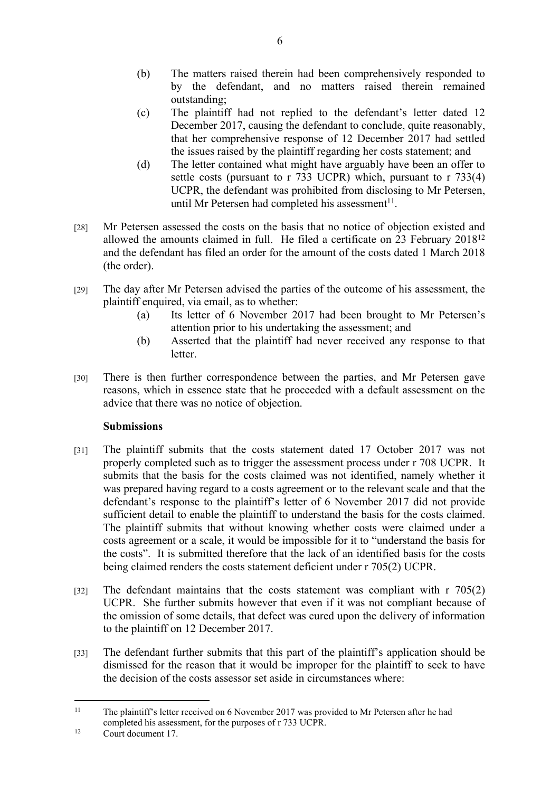- (b) The matters raised therein had been comprehensively responded to by the defendant, and no matters raised therein remained outstanding;
- (c) The plaintiff had not replied to the defendant's letter dated 12 December 2017, causing the defendant to conclude, quite reasonably, that her comprehensive response of 12 December 2017 had settled the issues raised by the plaintiff regarding her costs statement; and
- (d) The letter contained what might have arguably have been an offer to settle costs (pursuant to r 733 UCPR) which, pursuant to r 733(4) UCPR, the defendant was prohibited from disclosing to Mr Petersen, until Mr Petersen had completed his assessment $11$ .
- [28] Mr Petersen assessed the costs on the basis that no notice of objection existed and allowed the amounts claimed in full. He filed a certificate on 23 February 2018<sup>12</sup> and the defendant has filed an order for the amount of the costs dated 1 March 2018 (the order).
- [29] The day after Mr Petersen advised the parties of the outcome of his assessment, the plaintiff enquired, via email, as to whether:
	- (a) Its letter of 6 November 2017 had been brought to Mr Petersen's attention prior to his undertaking the assessment; and
	- (b) Asserted that the plaintiff had never received any response to that letter.
- [30] There is then further correspondence between the parties, and Mr Petersen gave reasons, which in essence state that he proceeded with a default assessment on the advice that there was no notice of objection.

## **Submissions**

- [31] The plaintiff submits that the costs statement dated 17 October 2017 was not properly completed such as to trigger the assessment process under r 708 UCPR. It submits that the basis for the costs claimed was not identified, namely whether it was prepared having regard to a costs agreement or to the relevant scale and that the defendant's response to the plaintiff's letter of 6 November 2017 did not provide sufficient detail to enable the plaintiff to understand the basis for the costs claimed. The plaintiff submits that without knowing whether costs were claimed under a costs agreement or a scale, it would be impossible for it to "understand the basis for the costs". It is submitted therefore that the lack of an identified basis for the costs being claimed renders the costs statement deficient under r 705(2) UCPR.
- [32] The defendant maintains that the costs statement was compliant with r 705(2) UCPR. She further submits however that even if it was not compliant because of the omission of some details, that defect was cured upon the delivery of information to the plaintiff on 12 December 2017.
- [33] The defendant further submits that this part of the plaintiff's application should be dismissed for the reason that it would be improper for the plaintiff to seek to have the decision of the costs assessor set aside in circumstances where:

<sup>&</sup>lt;sup>11</sup> The plaintiff's letter received on 6 November 2017 was provided to Mr Petersen after he had completed his assessment, for the purposes of r 733 UCPR.

<sup>12</sup> Court document 17.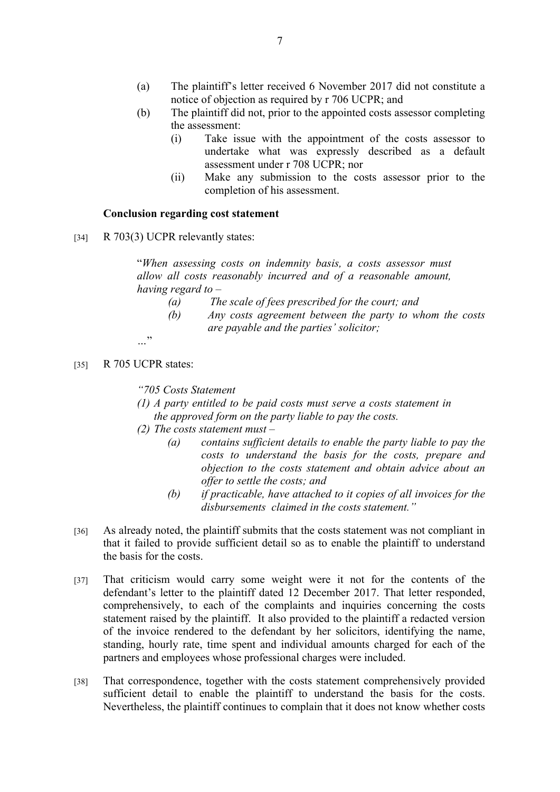- (a) The plaintiff's letter received 6 November 2017 did not constitute a notice of objection as required by r 706 UCPR; and
- (b) The plaintiff did not, prior to the appointed costs assessor completing the assessment:
	- (i) Take issue with the appointment of the costs assessor to undertake what was expressly described as a default assessment under r 708 UCPR; nor
	- (ii) Make any submission to the costs assessor prior to the completion of his assessment.

#### **Conclusion regarding cost statement**

[34] R 703(3) UCPR relevantly states:

"*When assessing costs on indemnity basis, a costs assessor must allow all costs reasonably incurred and of a reasonable amount, having regard to –*

- *(a) The scale of fees prescribed for the court; and*
- *(b) Any costs agreement between the party to whom the costs are payable and the parties' solicitor;*

*…*"

[35] R 705 UCPR states:

*"705 Costs Statement* 

- *(1) A party entitled to be paid costs must serve a costs statement in the approved form on the party liable to pay the costs.*
- *(2) The costs statement must –*
	- *(a) contains sufficient details to enable the party liable to pay the costs to understand the basis for the costs, prepare and objection to the costs statement and obtain advice about an offer to settle the costs; and*
	- *(b) if practicable, have attached to it copies of all invoices for the disbursements claimed in the costs statement."*
- [36] As already noted, the plaintiff submits that the costs statement was not compliant in that it failed to provide sufficient detail so as to enable the plaintiff to understand the basis for the costs.
- [37] That criticism would carry some weight were it not for the contents of the defendant's letter to the plaintiff dated 12 December 2017. That letter responded, comprehensively, to each of the complaints and inquiries concerning the costs statement raised by the plaintiff. It also provided to the plaintiff a redacted version of the invoice rendered to the defendant by her solicitors, identifying the name, standing, hourly rate, time spent and individual amounts charged for each of the partners and employees whose professional charges were included.
- [38] That correspondence, together with the costs statement comprehensively provided sufficient detail to enable the plaintiff to understand the basis for the costs. Nevertheless, the plaintiff continues to complain that it does not know whether costs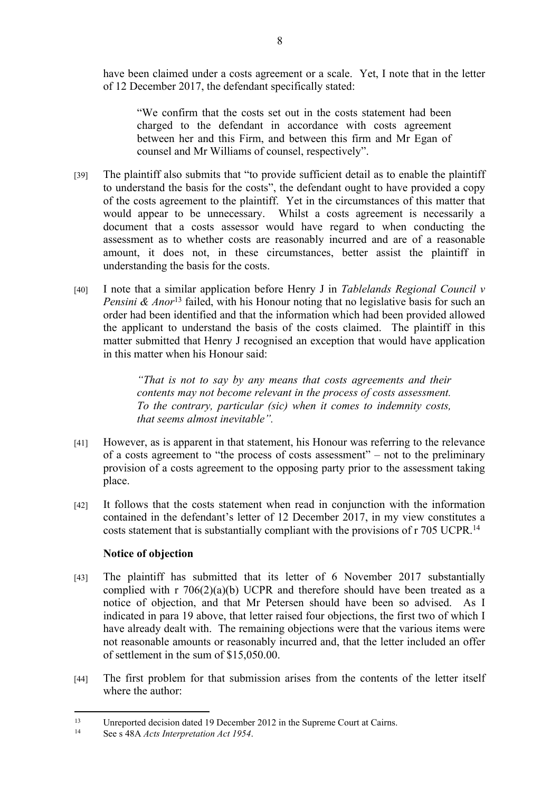have been claimed under a costs agreement or a scale. Yet, I note that in the letter of 12 December 2017, the defendant specifically stated:

"We confirm that the costs set out in the costs statement had been charged to the defendant in accordance with costs agreement between her and this Firm, and between this firm and Mr Egan of counsel and Mr Williams of counsel, respectively".

- [39] The plaintiff also submits that "to provide sufficient detail as to enable the plaintiff to understand the basis for the costs", the defendant ought to have provided a copy of the costs agreement to the plaintiff. Yet in the circumstances of this matter that would appear to be unnecessary. Whilst a costs agreement is necessarily a document that a costs assessor would have regard to when conducting the assessment as to whether costs are reasonably incurred and are of a reasonable amount, it does not, in these circumstances, better assist the plaintiff in understanding the basis for the costs.
- [40] I note that a similar application before Henry J in *Tablelands Regional Council v Pensini & Anor*<sup>13</sup> failed, with his Honour noting that no legislative basis for such an order had been identified and that the information which had been provided allowed the applicant to understand the basis of the costs claimed. The plaintiff in this matter submitted that Henry J recognised an exception that would have application in this matter when his Honour said:

*"That is not to say by any means that costs agreements and their contents may not become relevant in the process of costs assessment. To the contrary, particular (sic) when it comes to indemnity costs, that seems almost inevitable".*

- [41] However, as is apparent in that statement, his Honour was referring to the relevance of a costs agreement to "the process of costs assessment" – not to the preliminary provision of a costs agreement to the opposing party prior to the assessment taking place.
- [42] It follows that the costs statement when read in conjunction with the information contained in the defendant's letter of 12 December 2017, in my view constitutes a costs statement that is substantially compliant with the provisions of r 705 UCPR.<sup>14</sup>

## **Notice of objection**

- [43] The plaintiff has submitted that its letter of 6 November 2017 substantially complied with r 706(2)(a)(b) UCPR and therefore should have been treated as a notice of objection, and that Mr Petersen should have been so advised. As I indicated in para 19 above, that letter raised four objections, the first two of which I have already dealt with. The remaining objections were that the various items were not reasonable amounts or reasonably incurred and, that the letter included an offer of settlement in the sum of \$15,050.00.
- [44] The first problem for that submission arises from the contents of the letter itself where the author:

<sup>13</sup> Unreported decision dated 19 December 2012 in the Supreme Court at Cairns.

See s 48A *Acts Interpretation Act 1954*.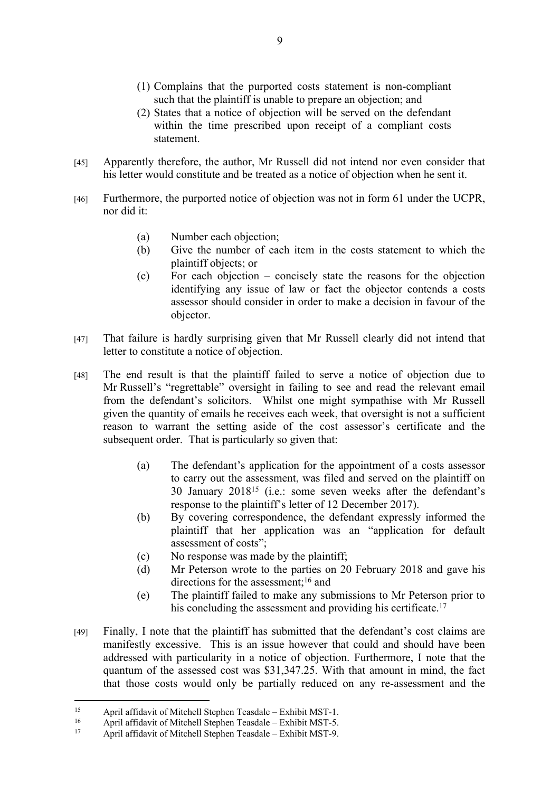- (1) Complains that the purported costs statement is non-compliant such that the plaintiff is unable to prepare an objection; and
- (2) States that a notice of objection will be served on the defendant within the time prescribed upon receipt of a compliant costs statement.
- [45] Apparently therefore, the author, Mr Russell did not intend nor even consider that his letter would constitute and be treated as a notice of objection when he sent it.
- [46] Furthermore, the purported notice of objection was not in form 61 under the UCPR, nor did it:
	- (a) Number each objection;
	- (b) Give the number of each item in the costs statement to which the plaintiff objects; or
	- (c) For each objection concisely state the reasons for the objection identifying any issue of law or fact the objector contends a costs assessor should consider in order to make a decision in favour of the objector.
- [47] That failure is hardly surprising given that Mr Russell clearly did not intend that letter to constitute a notice of objection.
- [48] The end result is that the plaintiff failed to serve a notice of objection due to Mr Russell's "regrettable" oversight in failing to see and read the relevant email from the defendant's solicitors. Whilst one might sympathise with Mr Russell given the quantity of emails he receives each week, that oversight is not a sufficient reason to warrant the setting aside of the cost assessor's certificate and the subsequent order. That is particularly so given that:
	- (a) The defendant's application for the appointment of a costs assessor to carry out the assessment, was filed and served on the plaintiff on 30 January 2018<sup>15</sup> (i.e.: some seven weeks after the defendant's response to the plaintiff's letter of 12 December 2017).
	- (b) By covering correspondence, the defendant expressly informed the plaintiff that her application was an "application for default assessment of costs";
	- (c) No response was made by the plaintiff;
	- (d) Mr Peterson wrote to the parties on 20 February 2018 and gave his directions for the assessment;<sup>16</sup> and
	- (e) The plaintiff failed to make any submissions to Mr Peterson prior to his concluding the assessment and providing his certificate.<sup>17</sup>
- [49] Finally, I note that the plaintiff has submitted that the defendant's cost claims are manifestly excessive. This is an issue however that could and should have been addressed with particularity in a notice of objection. Furthermore, I note that the quantum of the assessed cost was \$31,347.25. With that amount in mind, the fact that those costs would only be partially reduced on any re-assessment and the

<sup>&</sup>lt;sup>15</sup> April affidavit of Mitchell Stephen Teasdale – Exhibit MST-1.<br>
<sup>16</sup> April affidavit of Mitchell Stephen Teasdale – Exhibit MST-5.

<sup>&</sup>lt;sup>16</sup> April affidavit of Mitchell Stephen Teasdale – Exhibit MST-5.<br><sup>17</sup> April affidavit of Mitchell Stephen Teasdale – Exhibit MST 0.

April affidavit of Mitchell Stephen Teasdale – Exhibit MST-9.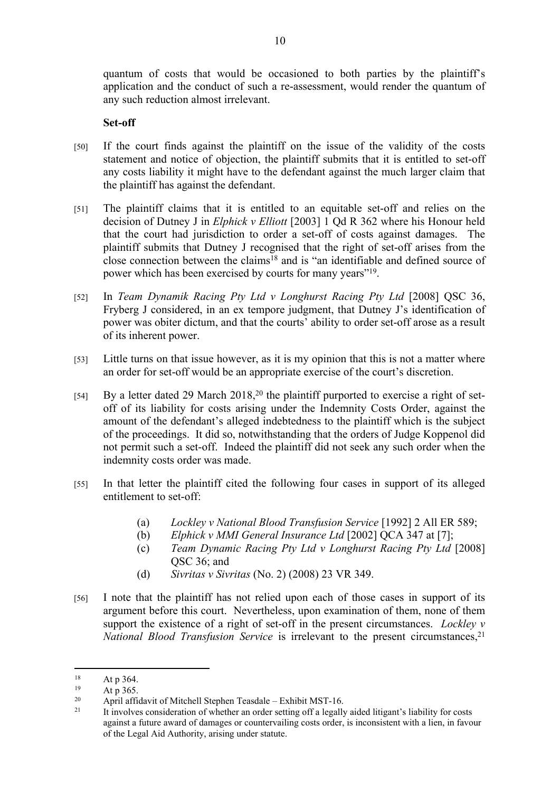quantum of costs that would be occasioned to both parties by the plaintiff's application and the conduct of such a re-assessment, would render the quantum of any such reduction almost irrelevant.

#### **Set-off**

- [50] If the court finds against the plaintiff on the issue of the validity of the costs statement and notice of objection, the plaintiff submits that it is entitled to set-off any costs liability it might have to the defendant against the much larger claim that the plaintiff has against the defendant.
- [51] The plaintiff claims that it is entitled to an equitable set-off and relies on the decision of Dutney J in *Elphick v Elliott* [2003] 1 Qd R 362 where his Honour held that the court had jurisdiction to order a set-off of costs against damages. The plaintiff submits that Dutney J recognised that the right of set-off arises from the close connection between the claims<sup>18</sup> and is "an identifiable and defined source of power which has been exercised by courts for many years"<sup>19</sup>.
- [52] In *Team Dynamik Racing Pty Ltd v Longhurst Racing Pty Ltd* [2008] QSC 36, Fryberg J considered, in an ex tempore judgment, that Dutney J's identification of power was obiter dictum, and that the courts' ability to order set-off arose as a result of its inherent power.
- [53] Little turns on that issue however, as it is my opinion that this is not a matter where an order for set-off would be an appropriate exercise of the court's discretion.
- [54] By a letter dated 29 March 2018,<sup>20</sup> the plaintiff purported to exercise a right of setoff of its liability for costs arising under the Indemnity Costs Order, against the amount of the defendant's alleged indebtedness to the plaintiff which is the subject of the proceedings. It did so, notwithstanding that the orders of Judge Koppenol did not permit such a set-off. Indeed the plaintiff did not seek any such order when the indemnity costs order was made.
- [55] In that letter the plaintiff cited the following four cases in support of its alleged entitlement to set-off:
	- (a) *Lockley v National Blood Transfusion Service* [1992] 2 All ER 589;
	- (b) *Elphick v MMI General Insurance Ltd* [2002] QCA 347 at [7];
	- (c) *Team Dynamic Racing Pty Ltd v Longhurst Racing Pty Ltd* [2008] QSC 36; and
	- (d) *Sivritas v Sivritas* (No. 2) (2008) 23 VR 349.
- [56] I note that the plaintiff has not relied upon each of those cases in support of its argument before this court. Nevertheless, upon examination of them, none of them support the existence of a right of set-off in the present circumstances. *Lockley v National Blood Transfusion Service* is irrelevant to the present circumstances,<sup>21</sup>

 $18$  At p 364.

 $19$  At p 365.<br>  $20$  April afficial

<sup>&</sup>lt;sup>20</sup> April affidavit of Mitchell Stephen Teasdale – Exhibit MST-16.<br><sup>21</sup> Hip volves consideration of whother an order esting of 6 legally

<sup>21</sup> It involves consideration of whether an order setting off a legally aided litigant's liability for costs against a future award of damages or countervailing costs order, is inconsistent with a lien, in favour of the Legal Aid Authority, arising under statute.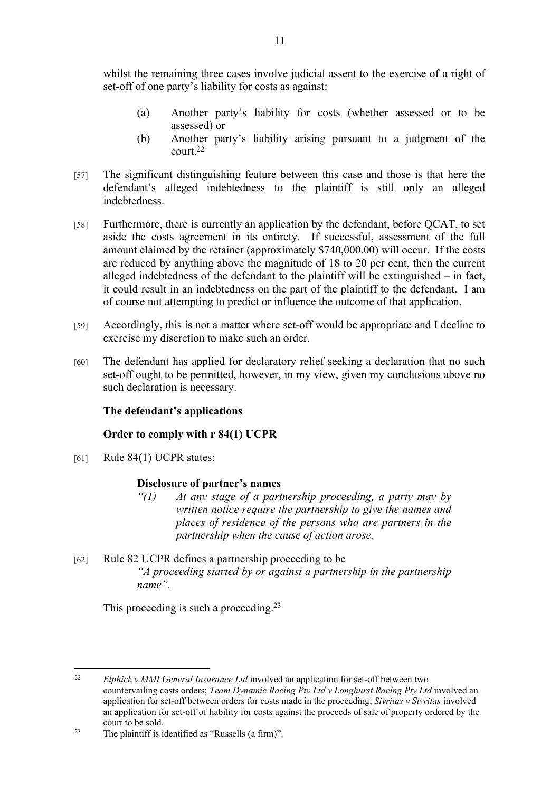whilst the remaining three cases involve judicial assent to the exercise of a right of set-off of one party's liability for costs as against:

- (a) Another party's liability for costs (whether assessed or to be assessed) or
- (b) Another party's liability arising pursuant to a judgment of the court.<sup>22</sup>
- [57] The significant distinguishing feature between this case and those is that here the defendant's alleged indebtedness to the plaintiff is still only an alleged indebtedness.
- [58] Furthermore, there is currently an application by the defendant, before QCAT, to set aside the costs agreement in its entirety. If successful, assessment of the full amount claimed by the retainer (approximately \$740,000.00) will occur. If the costs are reduced by anything above the magnitude of 18 to 20 per cent, then the current alleged indebtedness of the defendant to the plaintiff will be extinguished – in fact, it could result in an indebtedness on the part of the plaintiff to the defendant. I am of course not attempting to predict or influence the outcome of that application.
- [59] Accordingly, this is not a matter where set-off would be appropriate and I decline to exercise my discretion to make such an order.
- [60] The defendant has applied for declaratory relief seeking a declaration that no such set-off ought to be permitted, however, in my view, given my conclusions above no such declaration is necessary.

## **The defendant's applications**

## **Order to comply with r 84(1) UCPR**

[61] Rule 84(1) UCPR states:

#### **Disclosure of partner's names**

- *"(1) At any stage of a partnership proceeding, a party may by written notice require the partnership to give the names and places of residence of the persons who are partners in the partnership when the cause of action arose.*
- [62] Rule 82 UCPR defines a partnership proceeding to be *"A proceeding started by or against a partnership in the partnership name".*

This proceeding is such a proceeding.<sup>23</sup>

<sup>22</sup> *Elphick v MMI General Insurance Ltd* involved an application for set-off between two countervailing costs orders; *Team Dynamic Racing Pty Ltd v Longhurst Racing Pty Ltd* involved an application for set-off between orders for costs made in the proceeding; *Sivritas v Sivritas* involved an application for set-off of liability for costs against the proceeds of sale of property ordered by the court to be sold.

<sup>23</sup> The plaintiff is identified as "Russells (a firm)".